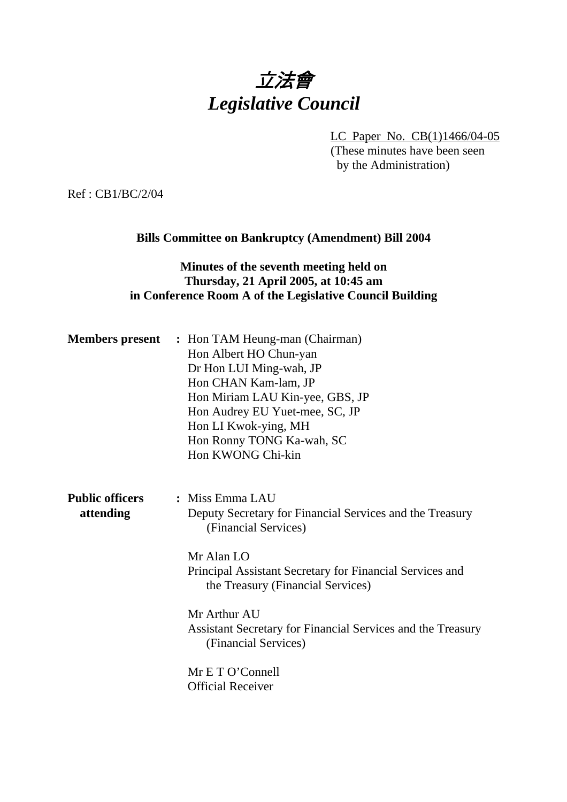## 立法會 *Legislative Council*

LC Paper No. CB(1)1466/04-05 (These minutes have been seen

by the Administration)

Ref : CB1/BC/2/04

#### **Bills Committee on Bankruptcy (Amendment) Bill 2004**

#### **Minutes of the seventh meeting held on Thursday, 21 April 2005, at 10:45 am in Conference Room A of the Legislative Council Building**

|                                     | <b>Members present</b> : Hon TAM Heung-man (Chairman)<br>Hon Albert HO Chun-yan<br>Dr Hon LUI Ming-wah, JP<br>Hon CHAN Kam-lam, JP<br>Hon Miriam LAU Kin-yee, GBS, JP<br>Hon Audrey EU Yuet-mee, SC, JP<br>Hon LI Kwok-ying, MH<br>Hon Ronny TONG Ka-wah, SC<br>Hon KWONG Chi-kin |
|-------------------------------------|-----------------------------------------------------------------------------------------------------------------------------------------------------------------------------------------------------------------------------------------------------------------------------------|
| <b>Public officers</b><br>attending | : Miss Emma LAU<br>Deputy Secretary for Financial Services and the Treasury<br>(Financial Services)<br>Mr Alan LO<br>Principal Assistant Secretary for Financial Services and<br>the Treasury (Financial Services)                                                                |
|                                     | Mr Arthur AU<br>Assistant Secretary for Financial Services and the Treasury<br>(Financial Services)<br>Mr E T O'Connell                                                                                                                                                           |
|                                     | <b>Official Receiver</b>                                                                                                                                                                                                                                                          |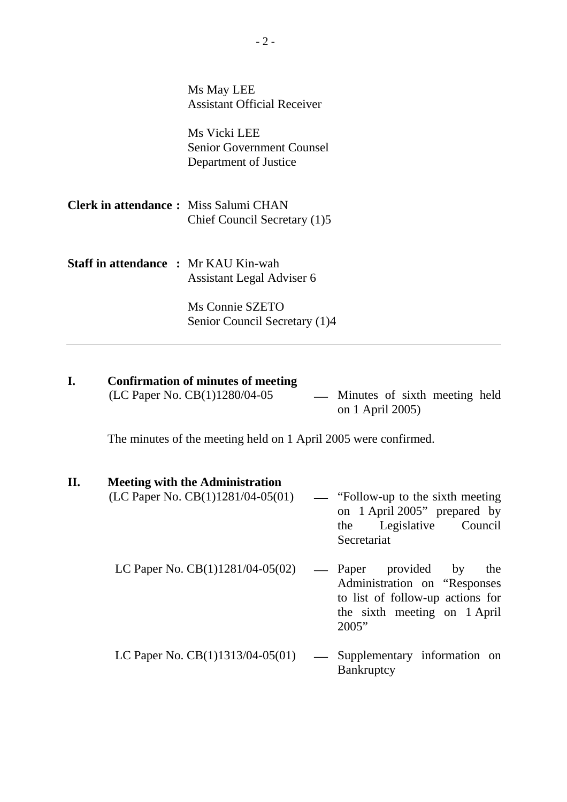|                                              | Ms May LEE<br><b>Assistant Official Receiver</b>                          |
|----------------------------------------------|---------------------------------------------------------------------------|
|                                              | Ms Vicki LEE<br><b>Senior Government Counsel</b><br>Department of Justice |
| <b>Clerk in attendance:</b> Miss Salumi CHAN | Chief Council Secretary (1)5                                              |
| <b>Staff in attendance : Mr KAU Kin-wah</b>  | Assistant Legal Adviser 6                                                 |
|                                              | Ms Connie SZETO<br>Senior Council Secretary (1)4                          |

# **I.** Confirmation of minutes of meeting (LC Paper No. CB(1)1280/04-05

 $\overline{\phantom{a}}$  Minutes of sixth meeting held on 1 April 2005)

The minutes of the meeting held on 1 April 2005 were confirmed.

#### **II. Meeting with the Administration**

| (LC Paper No. CB(1)1281/04-05(01)  | — "Follow-up to the sixth meeting"<br>on 1 April 2005" prepared by<br>the Legislative Council<br>Secretariat                    |
|------------------------------------|---------------------------------------------------------------------------------------------------------------------------------|
| LC Paper No. $CB(1)1281/04-05(02)$ | — Paper provided by<br>the<br>Administration on "Responses"<br>to list of follow-up actions for<br>the sixth meeting on 1 April |

LC Paper No.  $CB(1)1313/04-05(01)$  — Supplementary information on Bankruptcy

2005"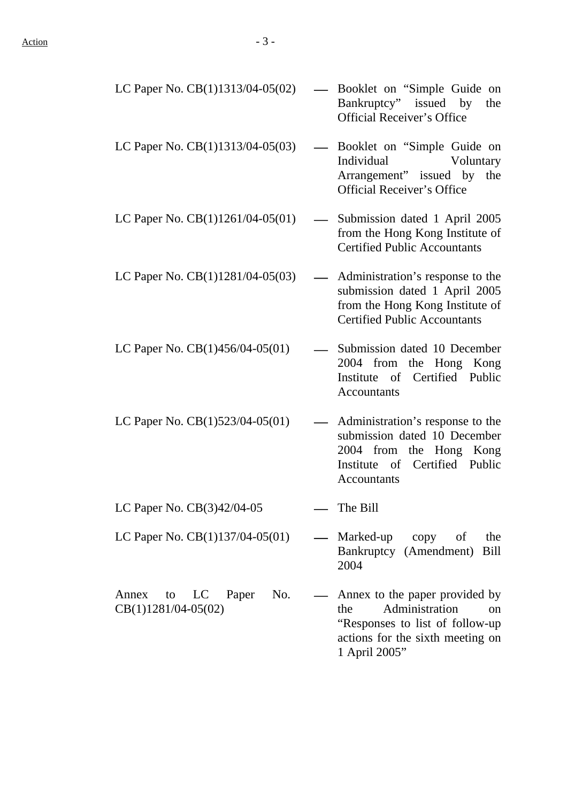| LC Paper No. $CB(1)1313/04-05(02)$                         | - Booklet on "Simple Guide on<br>Bankruptcy" issued by<br>the<br><b>Official Receiver's Office</b>                                              |
|------------------------------------------------------------|-------------------------------------------------------------------------------------------------------------------------------------------------|
| LC Paper No. CB(1)1313/04-05(03)                           | Booklet on "Simple Guide on<br>Individual<br>Voluntary<br>Arrangement" issued by the<br><b>Official Receiver's Office</b>                       |
| LC Paper No. $CB(1)1261/04-05(01)$                         | Submission dated 1 April 2005<br>$\qquad \qquad$<br>from the Hong Kong Institute of<br><b>Certified Public Accountants</b>                      |
| LC Paper No. CB(1)1281/04-05(03)                           | Administration's response to the<br>submission dated 1 April 2005<br>from the Hong Kong Institute of<br><b>Certified Public Accountants</b>     |
| LC Paper No. $CB(1)456/04-05(01)$                          | Submission dated 10 December<br>2004 from the Hong Kong<br>Institute of Certified Public<br>Accountants                                         |
| LC Paper No. $CB(1)523/04-05(01)$                          | Administration's response to the<br>submission dated 10 December<br>2004 from the Hong Kong<br>Institute of Certified Public<br>Accountants     |
| LC Paper No. CB(3)42/04-05                                 | The Bill                                                                                                                                        |
| LC Paper No. $CB(1)137/04-05(01)$                          | Marked-up<br>copy<br>of<br>the<br>Bankruptcy (Amendment)<br>Bill<br>2004                                                                        |
| Paper<br>No.<br>Annex<br>to<br>LC<br>$CB(1)1281/04-05(02)$ | Annex to the paper provided by<br>Administration<br>the<br><sub>on</sub><br>"Responses to list of follow-up<br>actions for the sixth meeting on |

1 April 2005"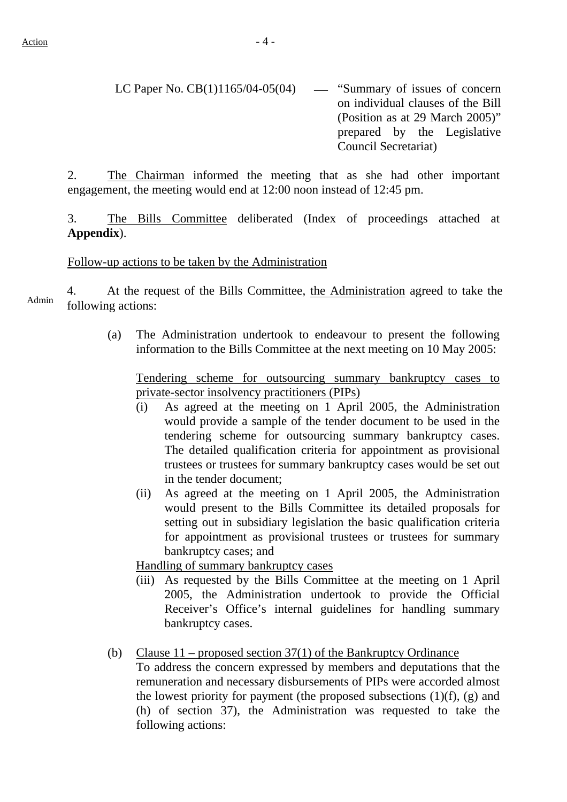2. The Chairman informed the meeting that as she had other important engagement, the meeting would end at 12:00 noon instead of 12:45 pm.

3. The Bills Committee deliberated (Index of proceedings attached at **Appendix**).

#### Follow-up actions to be taken by the Administration

4. At the request of the Bills Committee, the Administration agreed to take the following actions:

> (a) The Administration undertook to endeavour to present the following information to the Bills Committee at the next meeting on 10 May 2005:

Tendering scheme for outsourcing summary bankruptcy cases to private-sector insolvency practitioners (PIPs)

- (i) As agreed at the meeting on 1 April 2005, the Administration would provide a sample of the tender document to be used in the tendering scheme for outsourcing summary bankruptcy cases. The detailed qualification criteria for appointment as provisional trustees or trustees for summary bankruptcy cases would be set out in the tender document;
- (ii) As agreed at the meeting on 1 April 2005, the Administration would present to the Bills Committee its detailed proposals for setting out in subsidiary legislation the basic qualification criteria for appointment as provisional trustees or trustees for summary bankruptcy cases; and

Handling of summary bankruptcy cases

- (iii) As requested by the Bills Committee at the meeting on 1 April 2005, the Administration undertook to provide the Official Receiver's Office's internal guidelines for handling summary bankruptcy cases.
- (b) Clause 11 proposed section 37(1) of the Bankruptcy Ordinance

 To address the concern expressed by members and deputations that the remuneration and necessary disbursements of PIPs were accorded almost the lowest priority for payment (the proposed subsections  $(1)(f)$ ,  $(g)$  and (h) of section 37), the Administration was requested to take the following actions: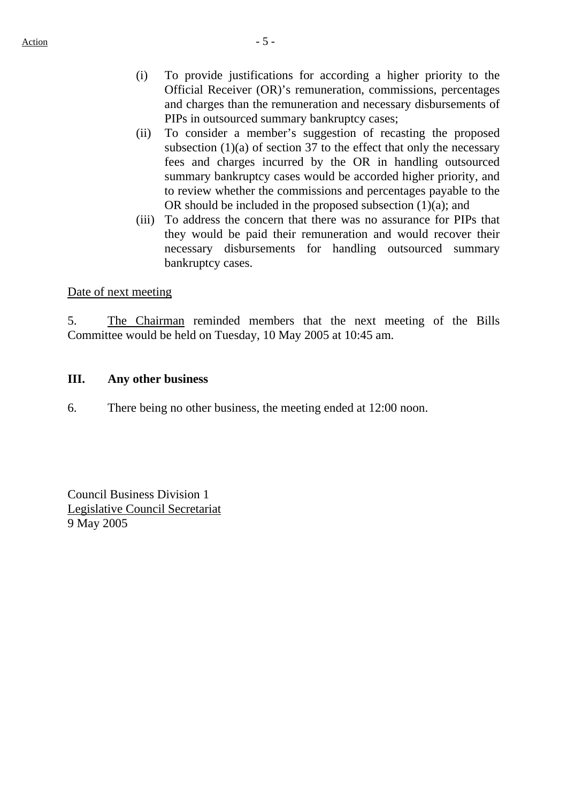- (i) To provide justifications for according a higher priority to the Official Receiver (OR)'s remuneration, commissions, percentages and charges than the remuneration and necessary disbursements of PIPs in outsourced summary bankruptcy cases;
- (ii) To consider a member's suggestion of recasting the proposed subsection  $(1)(a)$  of section 37 to the effect that only the necessary fees and charges incurred by the OR in handling outsourced summary bankruptcy cases would be accorded higher priority, and to review whether the commissions and percentages payable to the OR should be included in the proposed subsection  $(1)(a)$ ; and
- (iii) To address the concern that there was no assurance for PIPs that they would be paid their remuneration and would recover their necessary disbursements for handling outsourced summary bankruptcy cases.

#### Date of next meeting

5. The Chairman reminded members that the next meeting of the Bills Committee would be held on Tuesday, 10 May 2005 at 10:45 am.

#### **III. Any other business**

6. There being no other business, the meeting ended at 12:00 noon.

Council Business Division 1 Legislative Council Secretariat 9 May 2005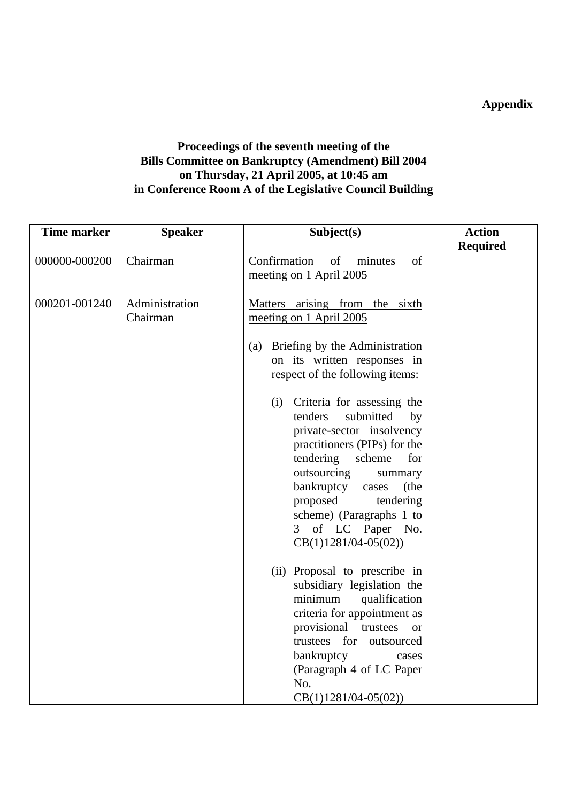### **Appendix**

#### **Proceedings of the seventh meeting of the Bills Committee on Bankruptcy (Amendment) Bill 2004 on Thursday, 21 April 2005, at 10:45 am in Conference Room A of the Legislative Council Building**

| <b>Time marker</b> | <b>Speaker</b>             | Subject(s)                                                                                                                                                                                                                                                                                                              | <b>Action</b>   |
|--------------------|----------------------------|-------------------------------------------------------------------------------------------------------------------------------------------------------------------------------------------------------------------------------------------------------------------------------------------------------------------------|-----------------|
|                    |                            |                                                                                                                                                                                                                                                                                                                         | <b>Required</b> |
| 000000-000200      | Chairman                   | Confirmation<br>of<br>of<br>minutes<br>meeting on 1 April 2005                                                                                                                                                                                                                                                          |                 |
| 000201-001240      | Administration<br>Chairman | Matters arising from<br>the sixth<br>meeting on 1 April 2005                                                                                                                                                                                                                                                            |                 |
|                    |                            | (a) Briefing by the Administration<br>on its written responses in<br>respect of the following items:                                                                                                                                                                                                                    |                 |
|                    |                            | Criteria for assessing the<br>(i)<br>tenders<br>submitted<br>by<br>private-sector insolvency<br>practitioners (PIPs) for the<br>tendering<br>scheme<br>for<br>outsourcing<br>summary<br>bankruptcy<br>(the<br>cases<br>proposed<br>tendering<br>scheme) (Paragraphs 1 to<br>3 of LC Paper No.<br>$CB(1)1281/04-05(02))$ |                 |
|                    |                            | (ii) Proposal to prescribe in<br>subsidiary legislation the<br>minimum<br>qualification<br>criteria for appointment as<br>provisional<br>trustees<br><b>or</b><br>trustees for<br>outsourced<br>bankruptcy<br>cases<br>(Paragraph 4 of LC Paper<br>No.<br>$CB(1)1281/04-05(02))$                                        |                 |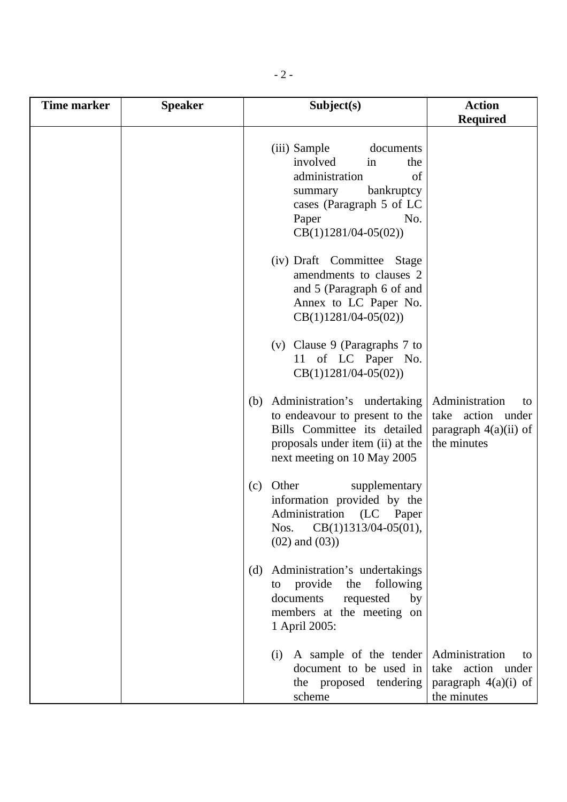| <b>Time marker</b> | <b>Speaker</b> | Subject(s)                                                                                                                                                                | <b>Action</b>                                                                       |
|--------------------|----------------|---------------------------------------------------------------------------------------------------------------------------------------------------------------------------|-------------------------------------------------------------------------------------|
|                    |                |                                                                                                                                                                           | <b>Required</b>                                                                     |
|                    |                | (iii) Sample<br>documents<br>involved<br>in<br>the<br>administration<br>of<br>bankruptcy<br>summary<br>cases (Paragraph 5 of LC<br>Paper<br>No.<br>$CB(1)1281/04-05(02))$ |                                                                                     |
|                    |                | (iv) Draft Committee Stage<br>amendments to clauses 2<br>and 5 (Paragraph 6 of and<br>Annex to LC Paper No.<br>$CB(1)1281/04-05(02))$                                     |                                                                                     |
|                    |                | (v) Clause 9 (Paragraphs $7$ to<br>11 of LC Paper No.<br>$CB(1)1281/04-05(02))$                                                                                           |                                                                                     |
|                    |                | Administration's undertaking<br>(b)<br>to endeavour to present to the<br>Bills Committee its detailed<br>proposals under item (ii) at the<br>next meeting on 10 May 2005  | Administration<br>to<br>take action under<br>paragraph $4(a)(ii)$ of<br>the minutes |
|                    |                | Other<br>supplementary<br>(c)<br>information provided by the<br>Administration<br>(LC)<br>Paper<br>$CB(1)1313/04-05(01),$<br>Nos.<br>$(02)$ and $(03)$ )                  |                                                                                     |
|                    |                | Administration's undertakings<br>(d)<br>provide<br>following<br>the<br>to<br>documents<br>by<br>requested<br>members at the meeting on<br>1 April 2005:                   |                                                                                     |
|                    |                | A sample of the tender<br>(i)<br>document to be used in<br>the proposed tendering<br>scheme                                                                               | Administration<br>to<br>take action under<br>paragraph $4(a)(i)$ of<br>the minutes  |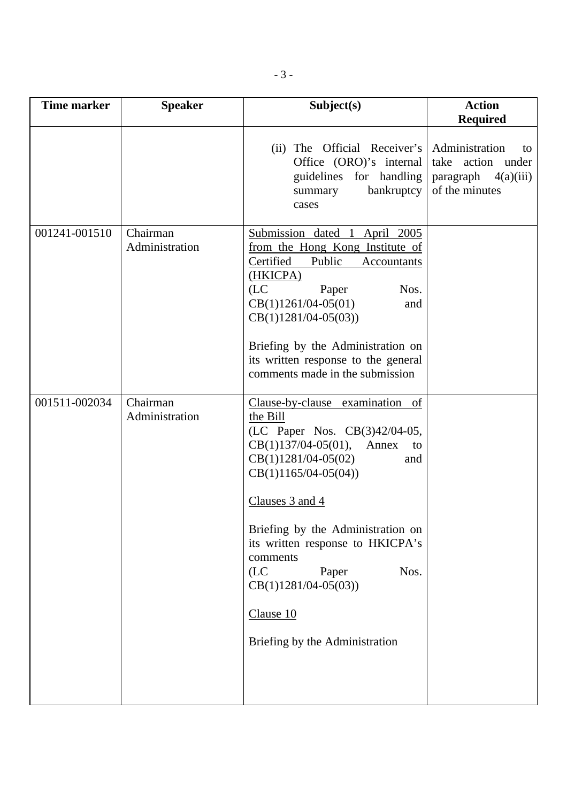| <b>Time marker</b> | <b>Speaker</b>             | Subject(s)                                                                                                                                                                                                                                    | <b>Action</b>                                                                         |
|--------------------|----------------------------|-----------------------------------------------------------------------------------------------------------------------------------------------------------------------------------------------------------------------------------------------|---------------------------------------------------------------------------------------|
|                    |                            |                                                                                                                                                                                                                                               | <b>Required</b>                                                                       |
|                    |                            | (ii) The Official Receiver's<br>Office (ORO)'s internal<br>guidelines for handling<br>bankruptcy<br>summary<br>cases                                                                                                                          | Administration<br>to<br>take action under<br>paragraph<br>4(a)(iii)<br>of the minutes |
| 001241-001510      | Chairman<br>Administration | Submission dated 1<br>April 2005<br>from the Hong Kong Institute of<br>Certified<br>Public<br>Accountants<br>(HKICPA)<br>(LC)<br>Nos.<br>Paper<br>$CB(1)1261/04-05(01)$<br>and<br>$CB(1)1281/04-05(03))$<br>Briefing by the Administration on |                                                                                       |
|                    |                            | its written response to the general<br>comments made in the submission                                                                                                                                                                        |                                                                                       |
| 001511-002034      | Chairman<br>Administration | Clause-by-clause examination of<br>the Bill<br>(LC Paper Nos. CB(3)42/04-05,<br>$CB(1)137/04-05(01),$<br>Annex<br>to<br>$CB(1)1281/04-05(02)$<br>and<br>$CB(1)1165/04-05(04))$                                                                |                                                                                       |
|                    |                            | Clauses 3 and 4<br>Briefing by the Administration on<br>its written response to HKICPA's<br>comments<br>(LC)<br>Nos.<br>Paper<br>$CB(1)1281/04-05(03))$<br>Clause 10<br>Briefing by the Administration                                        |                                                                                       |
|                    |                            |                                                                                                                                                                                                                                               |                                                                                       |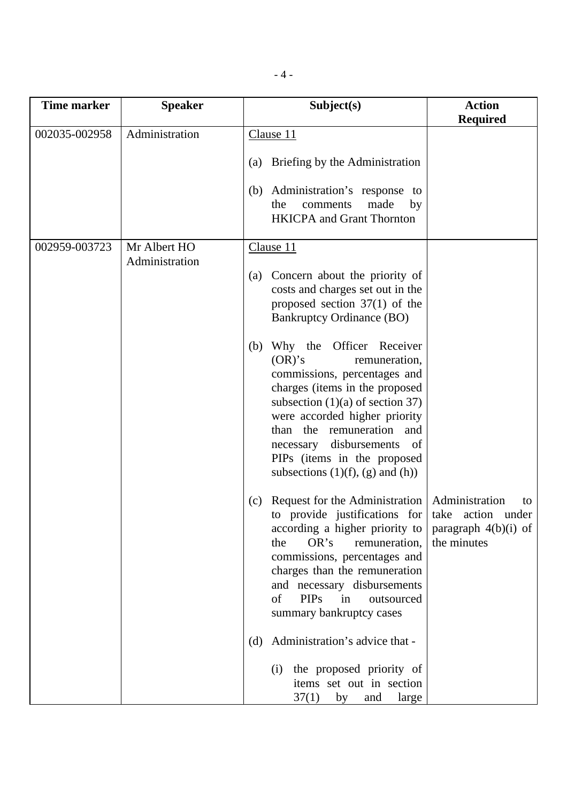| <b>Time marker</b> | <b>Speaker</b>                 | Subject(s)                                                                                                                                                                                                                                                                                                                                                                                                                                                                                                                                                                                                                                                                                                                                                                                            | <b>Action</b><br><b>Required</b>                                                   |
|--------------------|--------------------------------|-------------------------------------------------------------------------------------------------------------------------------------------------------------------------------------------------------------------------------------------------------------------------------------------------------------------------------------------------------------------------------------------------------------------------------------------------------------------------------------------------------------------------------------------------------------------------------------------------------------------------------------------------------------------------------------------------------------------------------------------------------------------------------------------------------|------------------------------------------------------------------------------------|
| 002035-002958      | Administration                 | Clause 11                                                                                                                                                                                                                                                                                                                                                                                                                                                                                                                                                                                                                                                                                                                                                                                             |                                                                                    |
|                    |                                | Briefing by the Administration<br>(a)                                                                                                                                                                                                                                                                                                                                                                                                                                                                                                                                                                                                                                                                                                                                                                 |                                                                                    |
|                    |                                | (b) Administration's response to<br>made<br>the<br>comments<br>by<br><b>HKICPA</b> and Grant Thornton                                                                                                                                                                                                                                                                                                                                                                                                                                                                                                                                                                                                                                                                                                 |                                                                                    |
| 002959-003723      | Mr Albert HO<br>Administration | Clause 11<br>(a) Concern about the priority of<br>costs and charges set out in the<br>proposed section $37(1)$ of the<br><b>Bankruptcy Ordinance (BO)</b><br>Why the Officer Receiver<br>(b)<br>$(OR)^{S}$<br>remuneration,<br>commissions, percentages and<br>charges (items in the proposed<br>subsection $(1)(a)$ of section 37)<br>were accorded higher priority<br>than the remuneration and<br>disbursements<br>necessary<br>of<br>PIPs (items in the proposed<br>subsections $(1)(f)$ , $(g)$ and $(h)$ )<br>Request for the Administration<br>(c)<br>to provide justifications for<br>according a higher priority to<br>OR's<br>remuneration,<br>the<br>commissions, percentages and<br>charges than the remuneration<br>and necessary disbursements<br><b>PIPs</b><br>of<br>in<br>outsourced | Administration<br>to<br>take action under<br>paragraph $4(b)(i)$ of<br>the minutes |
|                    |                                | summary bankruptcy cases<br>Administration's advice that -<br>(d)                                                                                                                                                                                                                                                                                                                                                                                                                                                                                                                                                                                                                                                                                                                                     |                                                                                    |
|                    |                                | the proposed priority of<br>(i)<br>items set out in section<br>37(1)<br>by<br>large<br>and                                                                                                                                                                                                                                                                                                                                                                                                                                                                                                                                                                                                                                                                                                            |                                                                                    |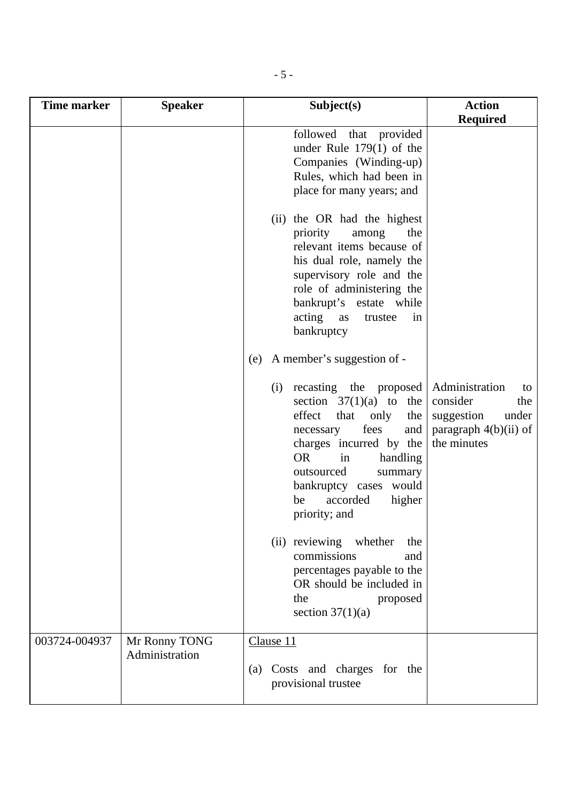| Time marker   | <b>Speaker</b> | Subject(s)                                                                                                                                                                                                                                                                                                                                                                                                                                  | <b>Action</b>                                                                                            |
|---------------|----------------|---------------------------------------------------------------------------------------------------------------------------------------------------------------------------------------------------------------------------------------------------------------------------------------------------------------------------------------------------------------------------------------------------------------------------------------------|----------------------------------------------------------------------------------------------------------|
|               |                |                                                                                                                                                                                                                                                                                                                                                                                                                                             | <b>Required</b>                                                                                          |
|               |                | followed that provided<br>under Rule $179(1)$ of the<br>Companies (Winding-up)<br>Rules, which had been in<br>place for many years; and                                                                                                                                                                                                                                                                                                     |                                                                                                          |
|               |                | (ii) the OR had the highest<br>priority<br>among<br>the<br>relevant items because of<br>his dual role, namely the<br>supervisory role and the<br>role of administering the<br>bankrupt's estate while<br>acting as<br>trustee<br>in<br>bankruptcy                                                                                                                                                                                           |                                                                                                          |
|               |                | A member's suggestion of -<br>(e)                                                                                                                                                                                                                                                                                                                                                                                                           |                                                                                                          |
|               |                | recasting the proposed<br>(i)<br>section $37(1)(a)$ to the<br>effect<br>that<br>only<br>the<br>fees<br>and<br>necessary<br>charges incurred by the<br><b>OR</b><br>handling<br>in<br>outsourced<br>summary<br>bankruptcy cases would<br>accorded<br>higher<br>be<br>priority; and<br>(ii) reviewing whether<br>the<br>commissions<br>and<br>percentages payable to the<br>OR should be included in<br>the<br>proposed<br>section $37(1)(a)$ | Administration<br>to<br>consider<br>the<br>suggestion<br>under<br>paragraph $4(b)(ii)$ of<br>the minutes |
| 003724-004937 | Mr Ronny TONG  | Clause 11                                                                                                                                                                                                                                                                                                                                                                                                                                   |                                                                                                          |
|               | Administration | Costs and charges for the<br>(a)<br>provisional trustee                                                                                                                                                                                                                                                                                                                                                                                     |                                                                                                          |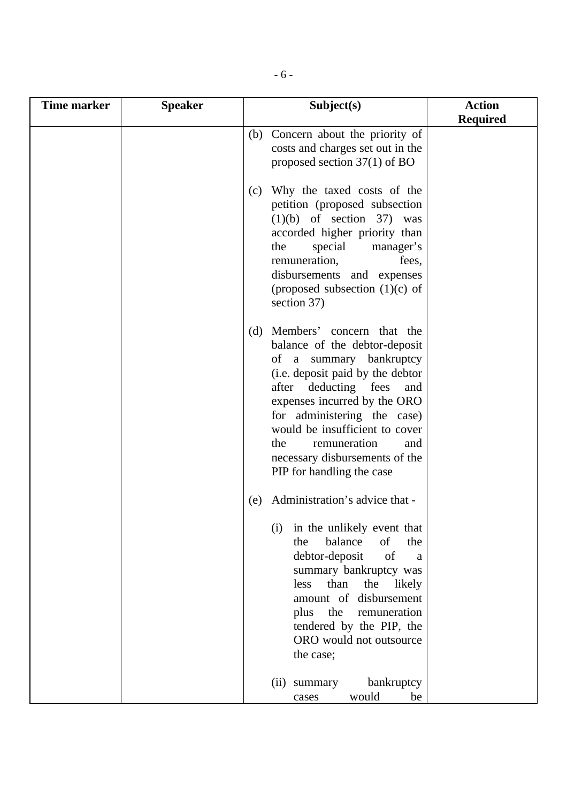| <b>Time marker</b> | <b>Speaker</b> | Subject(s)                                                                                                                                                                                                                                                                                                                                                    | <b>Action</b>   |
|--------------------|----------------|---------------------------------------------------------------------------------------------------------------------------------------------------------------------------------------------------------------------------------------------------------------------------------------------------------------------------------------------------------------|-----------------|
|                    |                |                                                                                                                                                                                                                                                                                                                                                               | <b>Required</b> |
|                    |                | (b) Concern about the priority of<br>costs and charges set out in the<br>proposed section $37(1)$ of BO                                                                                                                                                                                                                                                       |                 |
|                    |                | Why the taxed costs of the<br>(c)<br>petition (proposed subsection<br>$(1)(b)$ of section 37) was<br>accorded higher priority than<br>special<br>manager's<br>the<br>remuneration,<br>fees,<br>disbursements and expenses<br>(proposed subsection $(1)(c)$ of<br>section 37)                                                                                  |                 |
|                    |                | Members' concern that the<br>(d)<br>balance of the debtor-deposit<br>of a summary bankruptcy<br>(i.e. deposit paid by the debtor<br>after deducting fees<br>and<br>expenses incurred by the ORO<br>for administering the case)<br>would be insufficient to cover<br>remuneration<br>the<br>and<br>necessary disbursements of the<br>PIP for handling the case |                 |
|                    |                | Administration's advice that -<br>(e)<br>in the unlikely event that<br>(i)<br>balance<br>of<br>the<br>the<br>debtor-deposit<br>of<br>$\mathbf{a}$<br>summary bankruptcy was<br>less<br>than<br>the<br>likely<br>amount of disbursement<br>the<br>remuneration<br>plus<br>tendered by the PIP, the<br>ORO would not outsource<br>the case;                     |                 |
|                    |                | summary<br>bankruptcy<br>(ii)<br>would<br>be<br>cases                                                                                                                                                                                                                                                                                                         |                 |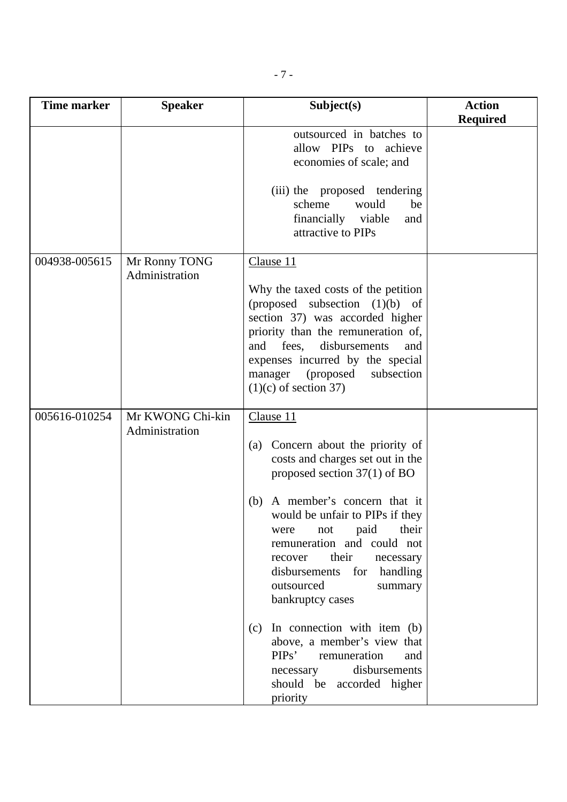| <b>Time marker</b> | <b>Speaker</b>                     | Subject(s)                                                                                                                                                                                                                                                                                                                                                                                                                                                                                                                                                  | <b>Action</b><br><b>Required</b> |
|--------------------|------------------------------------|-------------------------------------------------------------------------------------------------------------------------------------------------------------------------------------------------------------------------------------------------------------------------------------------------------------------------------------------------------------------------------------------------------------------------------------------------------------------------------------------------------------------------------------------------------------|----------------------------------|
|                    |                                    | outsourced in batches to<br>allow PIPs to achieve<br>economies of scale; and<br>(iii) the proposed tendering<br>scheme<br>would<br>be<br>financially viable<br>and<br>attractive to PIPs                                                                                                                                                                                                                                                                                                                                                                    |                                  |
| 004938-005615      | Mr Ronny TONG<br>Administration    | Clause 11<br>Why the taxed costs of the petition<br>(proposed subsection $(1)(b)$ of<br>section 37) was accorded higher<br>priority than the remuneration of,<br>disbursements<br>and<br>fees,<br>and<br>expenses incurred by the special<br>(proposed<br>subsection<br>manager<br>$(1)(c)$ of section 37)                                                                                                                                                                                                                                                  |                                  |
| 005616-010254      | Mr KWONG Chi-kin<br>Administration | Clause 11<br>Concern about the priority of<br>(a)<br>costs and charges set out in the<br>proposed section $37(1)$ of BO<br>A member's concern that it<br>(b)<br>would be unfair to PIPs if they<br>paid<br>their<br>not<br>were<br>remuneration and could not<br>their<br>recover<br>necessary<br>handling<br>disbursements<br>for<br>outsourced<br>summary<br>bankruptcy cases<br>In connection with item (b)<br>(c)<br>above, a member's view that<br>PIPs'<br>remuneration<br>and<br>disbursements<br>necessary<br>should be accorded higher<br>priority |                                  |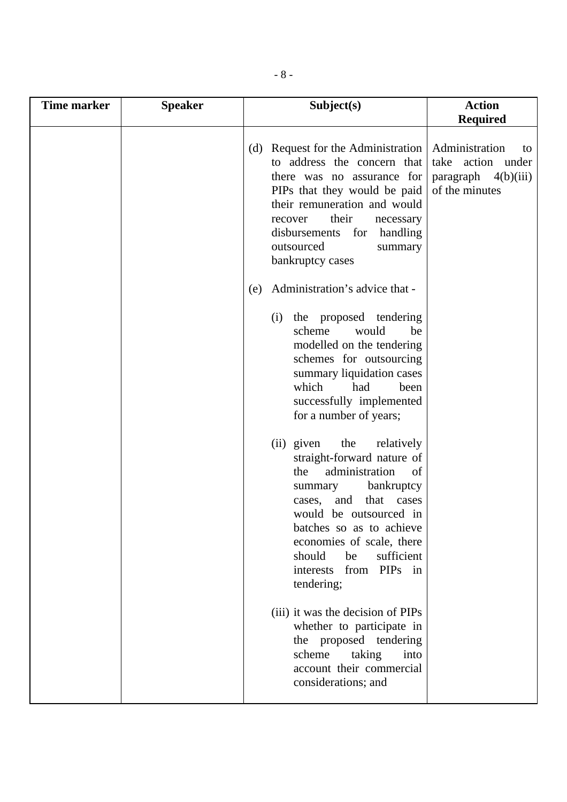| <b>Time marker</b> | <b>Speaker</b> | Subject(s)                                                                                                                                                                                                                                                                                                    | <b>Action</b>                                                      |
|--------------------|----------------|---------------------------------------------------------------------------------------------------------------------------------------------------------------------------------------------------------------------------------------------------------------------------------------------------------------|--------------------------------------------------------------------|
|                    |                |                                                                                                                                                                                                                                                                                                               | <b>Required</b>                                                    |
|                    |                | (d) Request for the Administration   Administration<br>to address the concern that<br>there was no assurance for<br>PIPs that they would be paid<br>their remuneration and would<br>their<br>recover<br>necessary<br>for<br>disbursements<br>handling<br>outsourced<br>summary<br>bankruptcy cases            | to<br>take action under<br>paragraph $4(b)(iii)$<br>of the minutes |
|                    |                | Administration's advice that -<br>(e)                                                                                                                                                                                                                                                                         |                                                                    |
|                    |                | the proposed tendering<br>(i)<br>scheme<br>would<br>be<br>modelled on the tendering<br>schemes for outsourcing<br>summary liquidation cases<br>which<br>had<br>been<br>successfully implemented<br>for a number of years;                                                                                     |                                                                    |
|                    |                | (ii) given<br>the<br>relatively<br>straight-forward nature of<br>administration<br>the<br>of<br>bankruptcy<br>summary<br>that cases<br>cases, and<br>would be outsourced in<br>batches so as to achieve<br>economies of scale, there<br>should<br>sufficient<br>be<br>from PIPs in<br>interests<br>tendering; |                                                                    |
|                    |                | (iii) it was the decision of PIPs<br>whether to participate in<br>the proposed tendering<br>taking<br>scheme<br>into<br>account their commercial<br>considerations; and                                                                                                                                       |                                                                    |